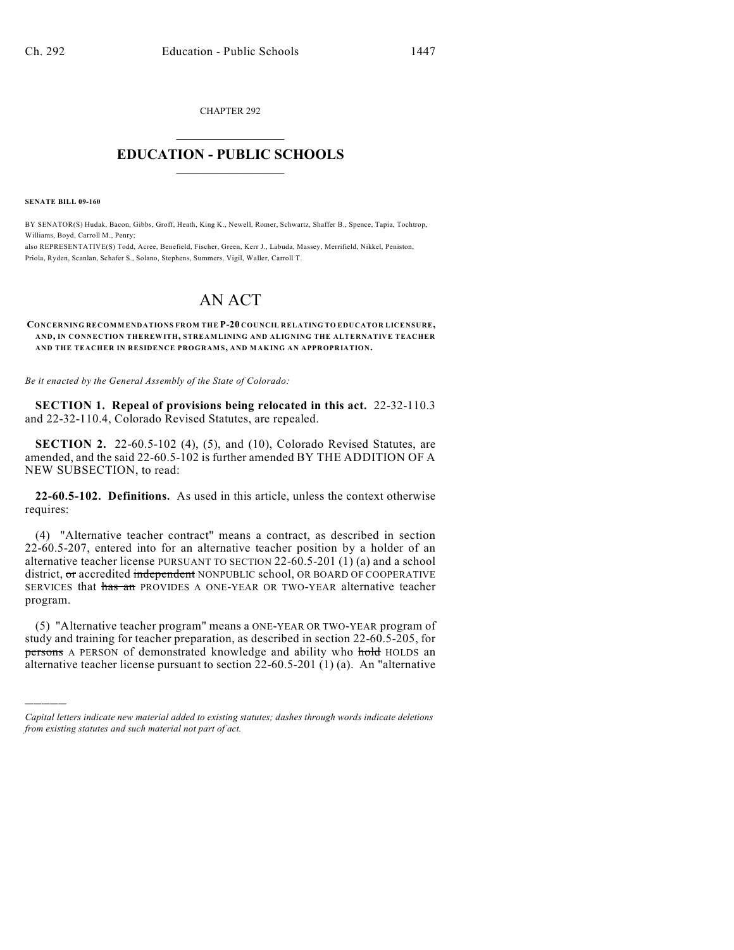CHAPTER 292  $\overline{\phantom{a}}$  . The set of the set of the set of the set of the set of the set of the set of the set of the set of the set of the set of the set of the set of the set of the set of the set of the set of the set of the set o

## **EDUCATION - PUBLIC SCHOOLS**  $\_$   $\_$   $\_$   $\_$   $\_$   $\_$   $\_$   $\_$   $\_$

**SENATE BILL 09-160**

)))))

BY SENATOR(S) Hudak, Bacon, Gibbs, Groff, Heath, King K., Newell, Romer, Schwartz, Shaffer B., Spence, Tapia, Tochtrop, Williams, Boyd, Carroll M., Penry;

also REPRESENTATIVE(S) Todd, Acree, Benefield, Fischer, Green, Kerr J., Labuda, Massey, Merrifield, Nikkel, Peniston, Priola, Ryden, Scanlan, Schafer S., Solano, Stephens, Summers, Vigil, Waller, Carroll T.

## AN ACT

**CONCERNING RECOMMENDATIONS FROM THE P-20 COUNCIL RELATING TO EDUCATOR LICENSURE, AND, IN CONNECTION THEREWITH, STREAMLINING AND ALIGNING THE ALTERNATIVE TEACHER AND THE TEACHER IN RESIDENCE PROGRAM S, AND MAKING AN APPROPRIATION.**

*Be it enacted by the General Assembly of the State of Colorado:*

**SECTION 1. Repeal of provisions being relocated in this act.** 22-32-110.3 and 22-32-110.4, Colorado Revised Statutes, are repealed.

**SECTION 2.** 22-60.5-102 (4), (5), and (10), Colorado Revised Statutes, are amended, and the said 22-60.5-102 is further amended BY THE ADDITION OF A NEW SUBSECTION, to read:

**22-60.5-102. Definitions.** As used in this article, unless the context otherwise requires:

(4) "Alternative teacher contract" means a contract, as described in section 22-60.5-207, entered into for an alternative teacher position by a holder of an alternative teacher license PURSUANT TO SECTION 22-60.5-201 (1) (a) and a school district, or accredited independent NONPUBLIC school, OR BOARD OF COOPERATIVE SERVICES that has an PROVIDES A ONE-YEAR OR TWO-YEAR alternative teacher program.

(5) "Alternative teacher program" means a ONE-YEAR OR TWO-YEAR program of study and training for teacher preparation, as described in section 22-60.5-205, for persons A PERSON of demonstrated knowledge and ability who hold HOLDS an alternative teacher license pursuant to section 22-60.5-201 (1) (a). An "alternative

*Capital letters indicate new material added to existing statutes; dashes through words indicate deletions from existing statutes and such material not part of act.*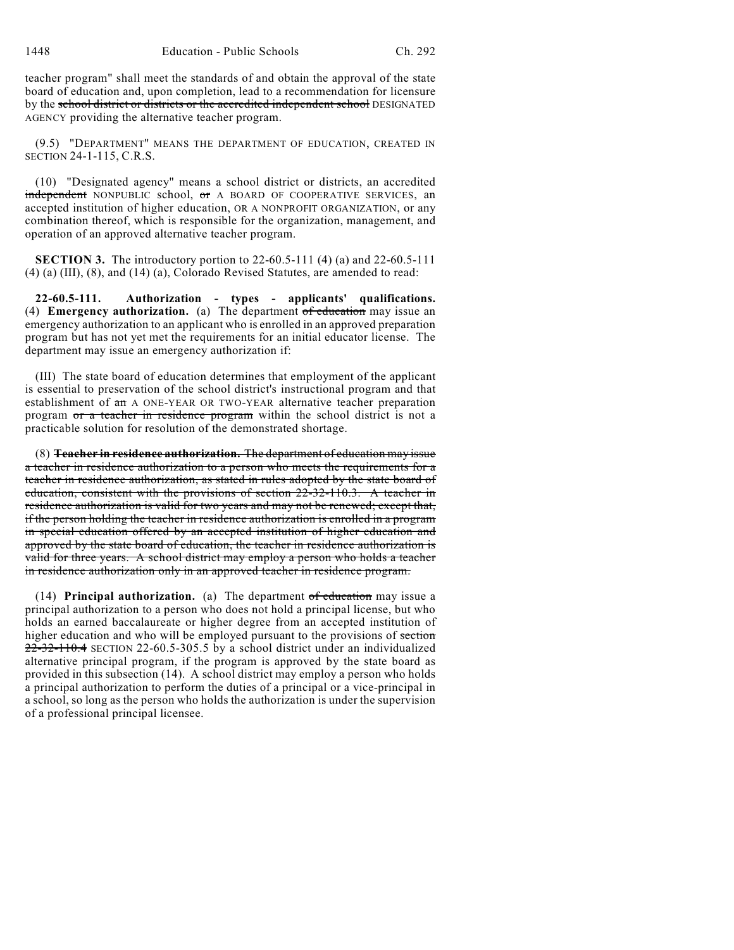teacher program" shall meet the standards of and obtain the approval of the state board of education and, upon completion, lead to a recommendation for licensure by the school district or districts or the accredited independent school DESIGNATED AGENCY providing the alternative teacher program.

(9.5) "DEPARTMENT" MEANS THE DEPARTMENT OF EDUCATION, CREATED IN SECTION 24-1-115, C.R.S.

(10) "Designated agency" means a school district or districts, an accredited independent NONPUBLIC school, or A BOARD OF COOPERATIVE SERVICES, an accepted institution of higher education, OR A NONPROFIT ORGANIZATION, or any combination thereof, which is responsible for the organization, management, and operation of an approved alternative teacher program.

**SECTION 3.** The introductory portion to 22-60.5-111 (4) (a) and 22-60.5-111 (4) (a) (III), (8), and (14) (a), Colorado Revised Statutes, are amended to read:

**22-60.5-111. Authorization - types - applicants' qualifications.** (4) **Emergency authorization.** (a) The department of education may issue an emergency authorization to an applicant who is enrolled in an approved preparation program but has not yet met the requirements for an initial educator license. The department may issue an emergency authorization if:

(III) The state board of education determines that employment of the applicant is essential to preservation of the school district's instructional program and that establishment of an A ONE-YEAR OR TWO-YEAR alternative teacher preparation program or a teacher in residence program within the school district is not a practicable solution for resolution of the demonstrated shortage.

(8) **Teacher in residence authorization.** The department of education may issue a teacher in residence authorization to a person who meets the requirements for a teacher in residence authorization, as stated in rules adopted by the state board of education, consistent with the provisions of section 22-32-110.3. A teacher in residence authorization is valid for two years and may not be renewed; except that, if the person holding the teacher in residence authorization is enrolled in a program in special education offered by an accepted institution of higher education and approved by the state board of education, the teacher in residence authorization is valid for three years. A school district may employ a person who holds a teacher in residence authorization only in an approved teacher in residence program.

(14) **Principal authorization.** (a) The department of education may issue a principal authorization to a person who does not hold a principal license, but who holds an earned baccalaureate or higher degree from an accepted institution of higher education and who will be employed pursuant to the provisions of section 22-32-110.4 SECTION 22-60.5-305.5 by a school district under an individualized alternative principal program, if the program is approved by the state board as provided in this subsection (14). A school district may employ a person who holds a principal authorization to perform the duties of a principal or a vice-principal in a school, so long as the person who holds the authorization is under the supervision of a professional principal licensee.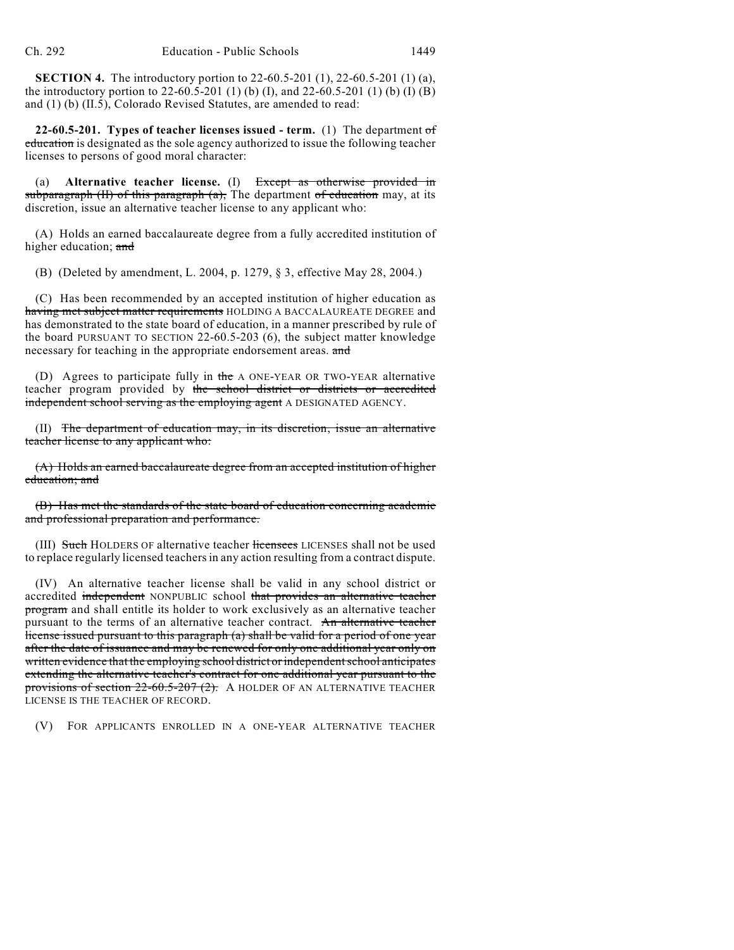**SECTION 4.** The introductory portion to 22-60.5-201 (1), 22-60.5-201 (1) (a), the introductory portion to 22-60.5-201 (1) (b) (I), and 22-60.5-201 (1) (b) (I) (B) and (1) (b) (II.5), Colorado Revised Statutes, are amended to read:

**22-60.5-201. Types of teacher licenses issued - term.** (1) The department of education is designated as the sole agency authorized to issue the following teacher licenses to persons of good moral character:

(a) **Alternative teacher license.** (I) Except as otherwise provided in subparagraph  $(H)$  of this paragraph  $(a)$ , The department of education may, at its discretion, issue an alternative teacher license to any applicant who:

(A) Holds an earned baccalaureate degree from a fully accredited institution of higher education; and

(B) (Deleted by amendment, L. 2004, p. 1279, § 3, effective May 28, 2004.)

(C) Has been recommended by an accepted institution of higher education as having met subject matter requirements HOLDING A BACCALAUREATE DEGREE and has demonstrated to the state board of education, in a manner prescribed by rule of the board PURSUANT TO SECTION 22-60.5-203 (6), the subject matter knowledge necessary for teaching in the appropriate endorsement areas. and

(D) Agrees to participate fully in the A ONE-YEAR OR TWO-YEAR alternative teacher program provided by the school district or districts or accredited independent school serving as the employing agent A DESIGNATED AGENCY.

(II) The department of education may, in its discretion, issue an alternative teacher license to any applicant who:

(A) Holds an earned baccalaureate degree from an accepted institution of higher education; and

(B) Has met the standards of the state board of education concerning academic and professional preparation and performance.

(III) Such HOLDERS OF alternative teacher licensees LICENSES shall not be used to replace regularly licensed teachers in any action resulting from a contract dispute.

(IV) An alternative teacher license shall be valid in any school district or accredited independent NONPUBLIC school that provides an alternative teacher program and shall entitle its holder to work exclusively as an alternative teacher pursuant to the terms of an alternative teacher contract. An alternative teacher license issued pursuant to this paragraph (a) shall be valid for a period of one year after the date of issuance and may be renewed for only one additional year only on written evidence that the employing school district or independent school anticipates extending the alternative teacher's contract for one additional year pursuant to the provisions of section  $22-60.5-207(2)$ . A HOLDER OF AN ALTERNATIVE TEACHER LICENSE IS THE TEACHER OF RECORD.

(V) FOR APPLICANTS ENROLLED IN A ONE-YEAR ALTERNATIVE TEACHER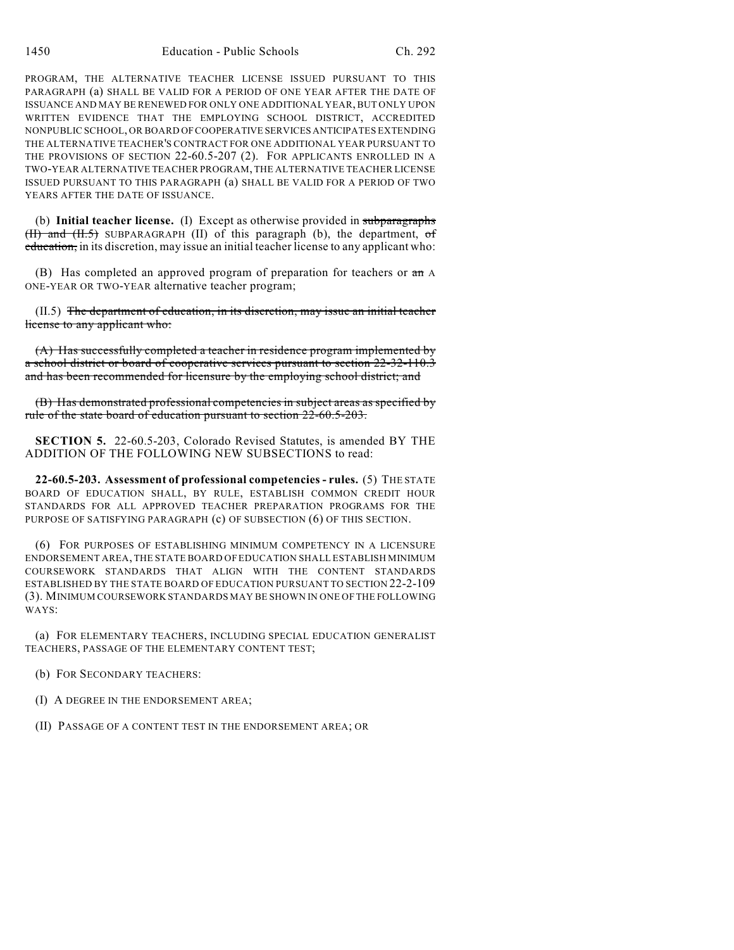PROGRAM, THE ALTERNATIVE TEACHER LICENSE ISSUED PURSUANT TO THIS PARAGRAPH (a) SHALL BE VALID FOR A PERIOD OF ONE YEAR AFTER THE DATE OF ISSUANCE AND MAY BE RENEWED FOR ONLY ONE ADDITIONAL YEAR, BUT ONLY UPON WRITTEN EVIDENCE THAT THE EMPLOYING SCHOOL DISTRICT, ACCREDITED NONPUBLIC SCHOOL, OR BOARD OF COOPERATIVE SERVICES ANTICIPATES EXTENDING THE ALTERNATIVE TEACHER'S CONTRACT FOR ONE ADDITIONAL YEAR PURSUANT TO THE PROVISIONS OF SECTION 22-60.5-207 (2). FOR APPLICANTS ENROLLED IN A TWO-YEAR ALTERNATIVE TEACHER PROGRAM, THE ALTERNATIVE TEACHER LICENSE ISSUED PURSUANT TO THIS PARAGRAPH (a) SHALL BE VALID FOR A PERIOD OF TWO YEARS AFTER THE DATE OF ISSUANCE.

(b) **Initial teacher license.** (I) Except as otherwise provided in subparagraphs  $(H)$  and  $(H.5)$  SUBPARAGRAPH (II) of this paragraph (b), the department, of education, in its discretion, may issue an initial teacher license to any applicant who:

(B) Has completed an approved program of preparation for teachers or an A ONE-YEAR OR TWO-YEAR alternative teacher program;

(II.5) The department of education, in its discretion, may issue an initial teacher license to any applicant who:

(A) Has successfully completed a teacher in residence program implemented by a school district or board of cooperative services pursuant to section 22-32-110.3 and has been recommended for licensure by the employing school district; and

(B) Has demonstrated professional competencies in subject areas as specified by rule of the state board of education pursuant to section 22-60.5-203.

**SECTION 5.** 22-60.5-203, Colorado Revised Statutes, is amended BY THE ADDITION OF THE FOLLOWING NEW SUBSECTIONS to read:

**22-60.5-203. Assessment of professional competencies - rules.** (5) THE STATE BOARD OF EDUCATION SHALL, BY RULE, ESTABLISH COMMON CREDIT HOUR STANDARDS FOR ALL APPROVED TEACHER PREPARATION PROGRAMS FOR THE PURPOSE OF SATISFYING PARAGRAPH (c) OF SUBSECTION (6) OF THIS SECTION.

(6) FOR PURPOSES OF ESTABLISHING MINIMUM COMPETENCY IN A LICENSURE ENDORSEMENT AREA, THE STATE BOARD OF EDUCATION SHALL ESTABLISH MINIMUM COURSEWORK STANDARDS THAT ALIGN WITH THE CONTENT STANDARDS ESTABLISHED BY THE STATE BOARD OF EDUCATION PURSUANT TO SECTION 22-2-109 (3). MINIMUM COURSEWORK STANDARDS MAY BE SHOWN IN ONE OF THE FOLLOWING WAYS:

(a) FOR ELEMENTARY TEACHERS, INCLUDING SPECIAL EDUCATION GENERALIST TEACHERS, PASSAGE OF THE ELEMENTARY CONTENT TEST;

(b) FOR SECONDARY TEACHERS:

(I) A DEGREE IN THE ENDORSEMENT AREA;

(II) PASSAGE OF A CONTENT TEST IN THE ENDORSEMENT AREA; OR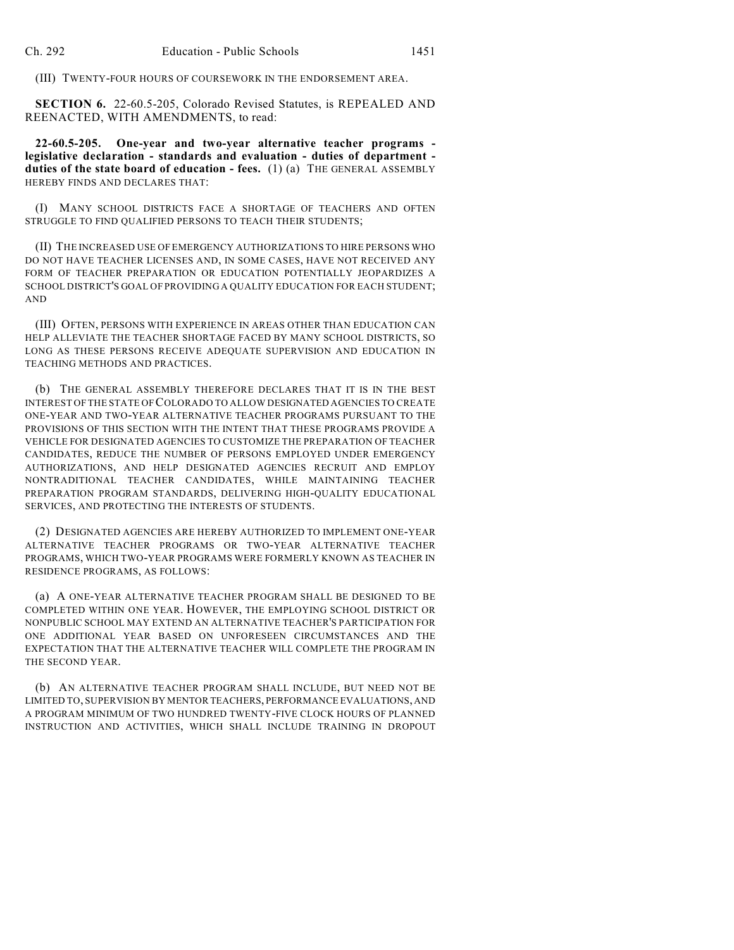(III) TWENTY-FOUR HOURS OF COURSEWORK IN THE ENDORSEMENT AREA.

**SECTION 6.** 22-60.5-205, Colorado Revised Statutes, is REPEALED AND REENACTED, WITH AMENDMENTS, to read:

**22-60.5-205. One-year and two-year alternative teacher programs legislative declaration - standards and evaluation - duties of department duties of the state board of education - fees.** (1) (a) THE GENERAL ASSEMBLY HEREBY FINDS AND DECLARES THAT:

(I) MANY SCHOOL DISTRICTS FACE A SHORTAGE OF TEACHERS AND OFTEN STRUGGLE TO FIND QUALIFIED PERSONS TO TEACH THEIR STUDENTS;

(II) THE INCREASED USE OF EMERGENCY AUTHORIZATIONS TO HIRE PERSONS WHO DO NOT HAVE TEACHER LICENSES AND, IN SOME CASES, HAVE NOT RECEIVED ANY FORM OF TEACHER PREPARATION OR EDUCATION POTENTIALLY JEOPARDIZES A SCHOOL DISTRICT'S GOAL OF PROVIDING A QUALITY EDUCATION FOR EACH STUDENT; AND

(III) OFTEN, PERSONS WITH EXPERIENCE IN AREAS OTHER THAN EDUCATION CAN HELP ALLEVIATE THE TEACHER SHORTAGE FACED BY MANY SCHOOL DISTRICTS, SO LONG AS THESE PERSONS RECEIVE ADEQUATE SUPERVISION AND EDUCATION IN TEACHING METHODS AND PRACTICES.

(b) THE GENERAL ASSEMBLY THEREFORE DECLARES THAT IT IS IN THE BEST INTEREST OF THE STATE OF COLORADO TO ALLOW DESIGNATED AGENCIES TO CREATE ONE-YEAR AND TWO-YEAR ALTERNATIVE TEACHER PROGRAMS PURSUANT TO THE PROVISIONS OF THIS SECTION WITH THE INTENT THAT THESE PROGRAMS PROVIDE A VEHICLE FOR DESIGNATED AGENCIES TO CUSTOMIZE THE PREPARATION OF TEACHER CANDIDATES, REDUCE THE NUMBER OF PERSONS EMPLOYED UNDER EMERGENCY AUTHORIZATIONS, AND HELP DESIGNATED AGENCIES RECRUIT AND EMPLOY NONTRADITIONAL TEACHER CANDIDATES, WHILE MAINTAINING TEACHER PREPARATION PROGRAM STANDARDS, DELIVERING HIGH-QUALITY EDUCATIONAL SERVICES, AND PROTECTING THE INTERESTS OF STUDENTS.

(2) DESIGNATED AGENCIES ARE HEREBY AUTHORIZED TO IMPLEMENT ONE-YEAR ALTERNATIVE TEACHER PROGRAMS OR TWO-YEAR ALTERNATIVE TEACHER PROGRAMS, WHICH TWO-YEAR PROGRAMS WERE FORMERLY KNOWN AS TEACHER IN RESIDENCE PROGRAMS, AS FOLLOWS:

(a) A ONE-YEAR ALTERNATIVE TEACHER PROGRAM SHALL BE DESIGNED TO BE COMPLETED WITHIN ONE YEAR. HOWEVER, THE EMPLOYING SCHOOL DISTRICT OR NONPUBLIC SCHOOL MAY EXTEND AN ALTERNATIVE TEACHER'S PARTICIPATION FOR ONE ADDITIONAL YEAR BASED ON UNFORESEEN CIRCUMSTANCES AND THE EXPECTATION THAT THE ALTERNATIVE TEACHER WILL COMPLETE THE PROGRAM IN THE SECOND YEAR.

(b) AN ALTERNATIVE TEACHER PROGRAM SHALL INCLUDE, BUT NEED NOT BE LIMITED TO, SUPERVISION BY MENTOR TEACHERS, PERFORMANCE EVALUATIONS, AND A PROGRAM MINIMUM OF TWO HUNDRED TWENTY-FIVE CLOCK HOURS OF PLANNED INSTRUCTION AND ACTIVITIES, WHICH SHALL INCLUDE TRAINING IN DROPOUT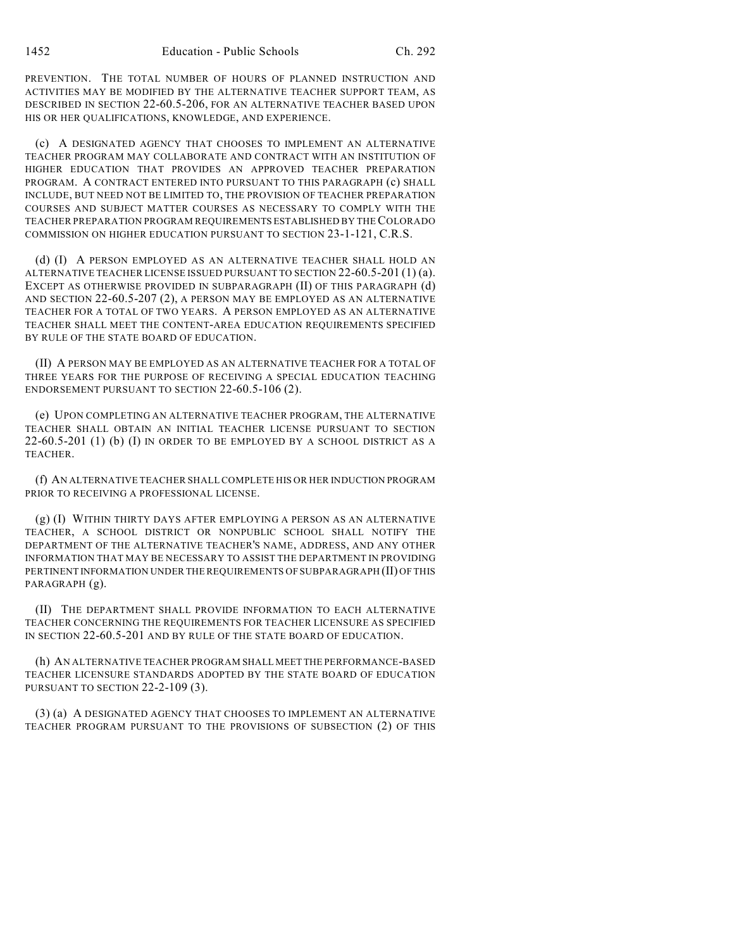PREVENTION. THE TOTAL NUMBER OF HOURS OF PLANNED INSTRUCTION AND ACTIVITIES MAY BE MODIFIED BY THE ALTERNATIVE TEACHER SUPPORT TEAM, AS DESCRIBED IN SECTION 22-60.5-206, FOR AN ALTERNATIVE TEACHER BASED UPON HIS OR HER QUALIFICATIONS, KNOWLEDGE, AND EXPERIENCE.

(c) A DESIGNATED AGENCY THAT CHOOSES TO IMPLEMENT AN ALTERNATIVE TEACHER PROGRAM MAY COLLABORATE AND CONTRACT WITH AN INSTITUTION OF HIGHER EDUCATION THAT PROVIDES AN APPROVED TEACHER PREPARATION PROGRAM. A CONTRACT ENTERED INTO PURSUANT TO THIS PARAGRAPH (c) SHALL INCLUDE, BUT NEED NOT BE LIMITED TO, THE PROVISION OF TEACHER PREPARATION COURSES AND SUBJECT MATTER COURSES AS NECESSARY TO COMPLY WITH THE TEACHER PREPARATION PROGRAM REQUIREMENTS ESTABLISHED BY THE COLORADO COMMISSION ON HIGHER EDUCATION PURSUANT TO SECTION 23-1-121, C.R.S.

(d) (I) A PERSON EMPLOYED AS AN ALTERNATIVE TEACHER SHALL HOLD AN ALTERNATIVE TEACHER LICENSE ISSUED PURSUANT TO SECTION 22-60.5-201 (1) (a). EXCEPT AS OTHERWISE PROVIDED IN SUBPARAGRAPH (II) OF THIS PARAGRAPH (d) AND SECTION 22-60.5-207 (2), A PERSON MAY BE EMPLOYED AS AN ALTERNATIVE TEACHER FOR A TOTAL OF TWO YEARS. A PERSON EMPLOYED AS AN ALTERNATIVE TEACHER SHALL MEET THE CONTENT-AREA EDUCATION REQUIREMENTS SPECIFIED BY RULE OF THE STATE BOARD OF EDUCATION.

(II) A PERSON MAY BE EMPLOYED AS AN ALTERNATIVE TEACHER FOR A TOTAL OF THREE YEARS FOR THE PURPOSE OF RECEIVING A SPECIAL EDUCATION TEACHING ENDORSEMENT PURSUANT TO SECTION 22-60.5-106 (2).

(e) UPON COMPLETING AN ALTERNATIVE TEACHER PROGRAM, THE ALTERNATIVE TEACHER SHALL OBTAIN AN INITIAL TEACHER LICENSE PURSUANT TO SECTION 22-60.5-201 (1) (b) (I) IN ORDER TO BE EMPLOYED BY A SCHOOL DISTRICT AS A TEACHER.

(f) AN ALTERNATIVE TEACHER SHALL COMPLETE HIS OR HER INDUCTION PROGRAM PRIOR TO RECEIVING A PROFESSIONAL LICENSE.

(g) (I) WITHIN THIRTY DAYS AFTER EMPLOYING A PERSON AS AN ALTERNATIVE TEACHER, A SCHOOL DISTRICT OR NONPUBLIC SCHOOL SHALL NOTIFY THE DEPARTMENT OF THE ALTERNATIVE TEACHER'S NAME, ADDRESS, AND ANY OTHER INFORMATION THAT MAY BE NECESSARY TO ASSIST THE DEPARTMENT IN PROVIDING PERTINENT INFORMATION UNDER THE REQUIREMENTS OF SUBPARAGRAPH (II) OF THIS PARAGRAPH (g).

(II) THE DEPARTMENT SHALL PROVIDE INFORMATION TO EACH ALTERNATIVE TEACHER CONCERNING THE REQUIREMENTS FOR TEACHER LICENSURE AS SPECIFIED IN SECTION 22-60.5-201 AND BY RULE OF THE STATE BOARD OF EDUCATION.

(h) AN ALTERNATIVE TEACHER PROGRAM SHALL MEET THE PERFORMANCE-BASED TEACHER LICENSURE STANDARDS ADOPTED BY THE STATE BOARD OF EDUCATION PURSUANT TO SECTION 22-2-109 (3).

(3) (a) A DESIGNATED AGENCY THAT CHOOSES TO IMPLEMENT AN ALTERNATIVE TEACHER PROGRAM PURSUANT TO THE PROVISIONS OF SUBSECTION (2) OF THIS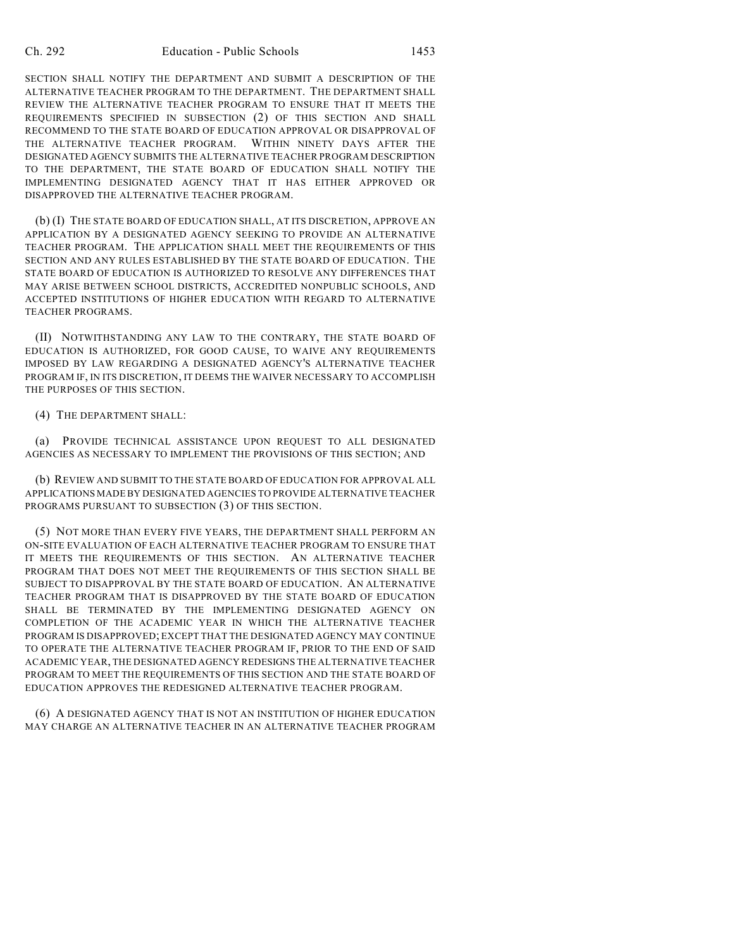SECTION SHALL NOTIFY THE DEPARTMENT AND SUBMIT A DESCRIPTION OF THE ALTERNATIVE TEACHER PROGRAM TO THE DEPARTMENT. THE DEPARTMENT SHALL REVIEW THE ALTERNATIVE TEACHER PROGRAM TO ENSURE THAT IT MEETS THE REQUIREMENTS SPECIFIED IN SUBSECTION (2) OF THIS SECTION AND SHALL RECOMMEND TO THE STATE BOARD OF EDUCATION APPROVAL OR DISAPPROVAL OF THE ALTERNATIVE TEACHER PROGRAM. WITHIN NINETY DAYS AFTER THE DESIGNATED AGENCY SUBMITS THE ALTERNATIVE TEACHER PROGRAM DESCRIPTION TO THE DEPARTMENT, THE STATE BOARD OF EDUCATION SHALL NOTIFY THE IMPLEMENTING DESIGNATED AGENCY THAT IT HAS EITHER APPROVED OR DISAPPROVED THE ALTERNATIVE TEACHER PROGRAM.

(b) (I) THE STATE BOARD OF EDUCATION SHALL, AT ITS DISCRETION, APPROVE AN APPLICATION BY A DESIGNATED AGENCY SEEKING TO PROVIDE AN ALTERNATIVE TEACHER PROGRAM. THE APPLICATION SHALL MEET THE REQUIREMENTS OF THIS SECTION AND ANY RULES ESTABLISHED BY THE STATE BOARD OF EDUCATION. THE STATE BOARD OF EDUCATION IS AUTHORIZED TO RESOLVE ANY DIFFERENCES THAT MAY ARISE BETWEEN SCHOOL DISTRICTS, ACCREDITED NONPUBLIC SCHOOLS, AND ACCEPTED INSTITUTIONS OF HIGHER EDUCATION WITH REGARD TO ALTERNATIVE TEACHER PROGRAMS.

(II) NOTWITHSTANDING ANY LAW TO THE CONTRARY, THE STATE BOARD OF EDUCATION IS AUTHORIZED, FOR GOOD CAUSE, TO WAIVE ANY REQUIREMENTS IMPOSED BY LAW REGARDING A DESIGNATED AGENCY'S ALTERNATIVE TEACHER PROGRAM IF, IN ITS DISCRETION, IT DEEMS THE WAIVER NECESSARY TO ACCOMPLISH THE PURPOSES OF THIS SECTION.

(4) THE DEPARTMENT SHALL:

(a) PROVIDE TECHNICAL ASSISTANCE UPON REQUEST TO ALL DESIGNATED AGENCIES AS NECESSARY TO IMPLEMENT THE PROVISIONS OF THIS SECTION; AND

(b) REVIEW AND SUBMIT TO THE STATE BOARD OF EDUCATION FOR APPROVAL ALL APPLICATIONS MADE BY DESIGNATED AGENCIES TO PROVIDE ALTERNATIVE TEACHER PROGRAMS PURSUANT TO SUBSECTION (3) OF THIS SECTION.

(5) NOT MORE THAN EVERY FIVE YEARS, THE DEPARTMENT SHALL PERFORM AN ON-SITE EVALUATION OF EACH ALTERNATIVE TEACHER PROGRAM TO ENSURE THAT IT MEETS THE REQUIREMENTS OF THIS SECTION. AN ALTERNATIVE TEACHER PROGRAM THAT DOES NOT MEET THE REQUIREMENTS OF THIS SECTION SHALL BE SUBJECT TO DISAPPROVAL BY THE STATE BOARD OF EDUCATION. AN ALTERNATIVE TEACHER PROGRAM THAT IS DISAPPROVED BY THE STATE BOARD OF EDUCATION SHALL BE TERMINATED BY THE IMPLEMENTING DESIGNATED AGENCY ON COMPLETION OF THE ACADEMIC YEAR IN WHICH THE ALTERNATIVE TEACHER PROGRAM IS DISAPPROVED; EXCEPT THAT THE DESIGNATED AGENCY MAY CONTINUE TO OPERATE THE ALTERNATIVE TEACHER PROGRAM IF, PRIOR TO THE END OF SAID ACADEMIC YEAR, THE DESIGNATED AGENCY REDESIGNS THE ALTERNATIVE TEACHER PROGRAM TO MEET THE REQUIREMENTS OF THIS SECTION AND THE STATE BOARD OF EDUCATION APPROVES THE REDESIGNED ALTERNATIVE TEACHER PROGRAM.

(6) A DESIGNATED AGENCY THAT IS NOT AN INSTITUTION OF HIGHER EDUCATION MAY CHARGE AN ALTERNATIVE TEACHER IN AN ALTERNATIVE TEACHER PROGRAM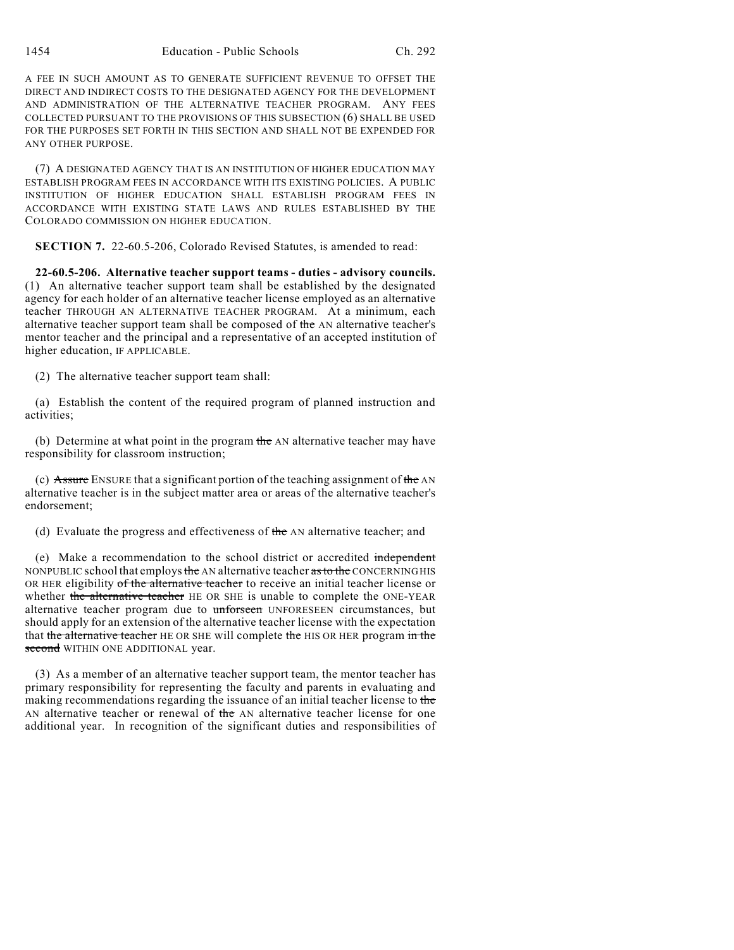A FEE IN SUCH AMOUNT AS TO GENERATE SUFFICIENT REVENUE TO OFFSET THE DIRECT AND INDIRECT COSTS TO THE DESIGNATED AGENCY FOR THE DEVELOPMENT AND ADMINISTRATION OF THE ALTERNATIVE TEACHER PROGRAM. ANY FEES COLLECTED PURSUANT TO THE PROVISIONS OF THIS SUBSECTION (6) SHALL BE USED FOR THE PURPOSES SET FORTH IN THIS SECTION AND SHALL NOT BE EXPENDED FOR ANY OTHER PURPOSE.

(7) A DESIGNATED AGENCY THAT IS AN INSTITUTION OF HIGHER EDUCATION MAY ESTABLISH PROGRAM FEES IN ACCORDANCE WITH ITS EXISTING POLICIES. A PUBLIC INSTITUTION OF HIGHER EDUCATION SHALL ESTABLISH PROGRAM FEES IN ACCORDANCE WITH EXISTING STATE LAWS AND RULES ESTABLISHED BY THE COLORADO COMMISSION ON HIGHER EDUCATION.

**SECTION 7.** 22-60.5-206, Colorado Revised Statutes, is amended to read:

**22-60.5-206. Alternative teacher support teams - duties - advisory councils.** (1) An alternative teacher support team shall be established by the designated agency for each holder of an alternative teacher license employed as an alternative teacher THROUGH AN ALTERNATIVE TEACHER PROGRAM. At a minimum, each alternative teacher support team shall be composed of the AN alternative teacher's mentor teacher and the principal and a representative of an accepted institution of higher education, IF APPLICABLE.

(2) The alternative teacher support team shall:

(a) Establish the content of the required program of planned instruction and activities;

(b) Determine at what point in the program the AN alternative teacher may have responsibility for classroom instruction;

(c) Assure ENSURE that a significant portion of the teaching assignment of the AN alternative teacher is in the subject matter area or areas of the alternative teacher's endorsement;

(d) Evaluate the progress and effectiveness of the AN alternative teacher; and

(e) Make a recommendation to the school district or accredited independent NONPUBLIC school that employs the AN alternative teacher as to the CONCERNING HIS OR HER eligibility of the alternative teacher to receive an initial teacher license or whether the alternative teacher HE OR SHE is unable to complete the ONE-YEAR alternative teacher program due to unforseen UNFORESEEN circumstances, but should apply for an extension of the alternative teacher license with the expectation that the alternative teacher HE OR SHE will complete the HIS OR HER program in the second WITHIN ONE ADDITIONAL year.

(3) As a member of an alternative teacher support team, the mentor teacher has primary responsibility for representing the faculty and parents in evaluating and making recommendations regarding the issuance of an initial teacher license to the AN alternative teacher or renewal of the AN alternative teacher license for one additional year. In recognition of the significant duties and responsibilities of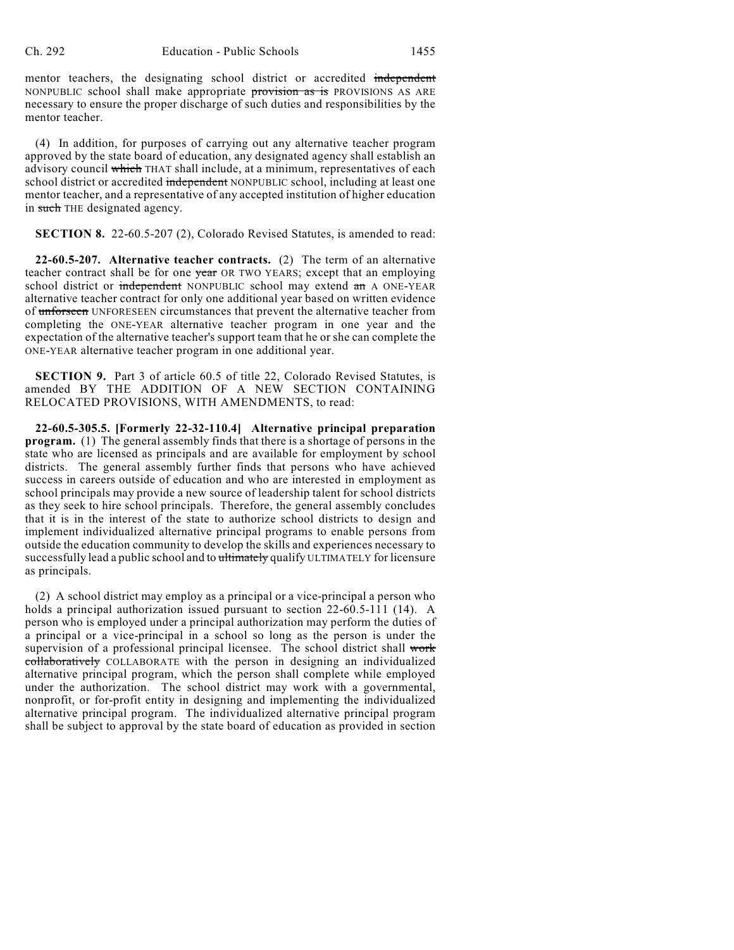mentor teachers, the designating school district or accredited independent NONPUBLIC school shall make appropriate provision as is PROVISIONS AS ARE necessary to ensure the proper discharge of such duties and responsibilities by the mentor teacher.

(4) In addition, for purposes of carrying out any alternative teacher program approved by the state board of education, any designated agency shall establish an advisory council which THAT shall include, at a minimum, representatives of each school district or accredited independent NONPUBLIC school, including at least one mentor teacher, and a representative of any accepted institution of higher education in such THE designated agency.

**SECTION 8.** 22-60.5-207 (2), Colorado Revised Statutes, is amended to read:

**22-60.5-207. Alternative teacher contracts.** (2) The term of an alternative teacher contract shall be for one year OR TWO YEARS; except that an employing school district or independent NONPUBLIC school may extend an A ONE-YEAR alternative teacher contract for only one additional year based on written evidence of unforseen UNFORESEEN circumstances that prevent the alternative teacher from completing the ONE-YEAR alternative teacher program in one year and the expectation of the alternative teacher's support team that he or she can complete the ONE-YEAR alternative teacher program in one additional year.

**SECTION 9.** Part 3 of article 60.5 of title 22, Colorado Revised Statutes, is amended BY THE ADDITION OF A NEW SECTION CONTAINING RELOCATED PROVISIONS, WITH AMENDMENTS, to read:

**22-60.5-305.5. [Formerly 22-32-110.4] Alternative principal preparation program.** (1) The general assembly finds that there is a shortage of persons in the state who are licensed as principals and are available for employment by school districts. The general assembly further finds that persons who have achieved success in careers outside of education and who are interested in employment as school principals may provide a new source of leadership talent for school districts as they seek to hire school principals. Therefore, the general assembly concludes that it is in the interest of the state to authorize school districts to design and implement individualized alternative principal programs to enable persons from outside the education community to develop the skills and experiences necessary to successfully lead a public school and to ultimately qualify ULTIMATELY for licensure as principals.

(2) A school district may employ as a principal or a vice-principal a person who holds a principal authorization issued pursuant to section 22-60.5-111 (14). A person who is employed under a principal authorization may perform the duties of a principal or a vice-principal in a school so long as the person is under the supervision of a professional principal licensee. The school district shall work collaboratively COLLABORATE with the person in designing an individualized alternative principal program, which the person shall complete while employed under the authorization. The school district may work with a governmental, nonprofit, or for-profit entity in designing and implementing the individualized alternative principal program. The individualized alternative principal program shall be subject to approval by the state board of education as provided in section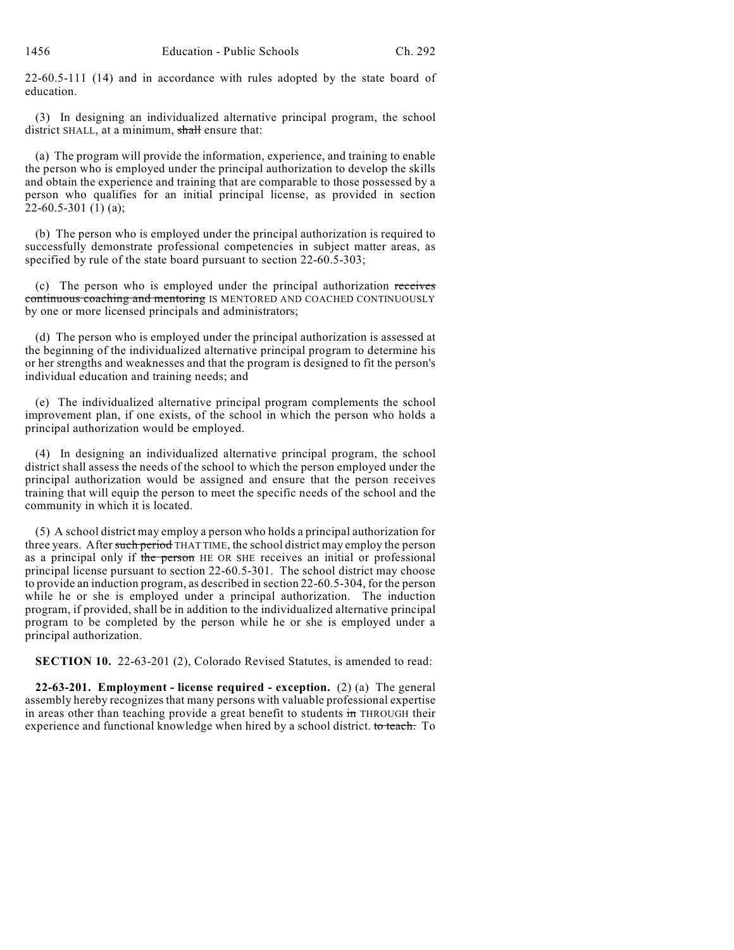22-60.5-111 (14) and in accordance with rules adopted by the state board of education.

(3) In designing an individualized alternative principal program, the school district SHALL, at a minimum, shall ensure that:

(a) The program will provide the information, experience, and training to enable the person who is employed under the principal authorization to develop the skills and obtain the experience and training that are comparable to those possessed by a person who qualifies for an initial principal license, as provided in section 22-60.5-301 (1) (a);

(b) The person who is employed under the principal authorization is required to successfully demonstrate professional competencies in subject matter areas, as specified by rule of the state board pursuant to section 22-60.5-303;

(c) The person who is employed under the principal authorization receives continuous coaching and mentoring IS MENTORED AND COACHED CONTINUOUSLY by one or more licensed principals and administrators;

(d) The person who is employed under the principal authorization is assessed at the beginning of the individualized alternative principal program to determine his or her strengths and weaknesses and that the program is designed to fit the person's individual education and training needs; and

(e) The individualized alternative principal program complements the school improvement plan, if one exists, of the school in which the person who holds a principal authorization would be employed.

(4) In designing an individualized alternative principal program, the school district shall assess the needs of the school to which the person employed under the principal authorization would be assigned and ensure that the person receives training that will equip the person to meet the specific needs of the school and the community in which it is located.

(5) A school district may employ a person who holds a principal authorization for three years. After such period THAT TIME, the school district may employ the person as a principal only if the person HE OR SHE receives an initial or professional principal license pursuant to section 22-60.5-301. The school district may choose to provide an induction program, as described in section 22-60.5-304, for the person while he or she is employed under a principal authorization. The induction program, if provided, shall be in addition to the individualized alternative principal program to be completed by the person while he or she is employed under a principal authorization.

**SECTION 10.** 22-63-201 (2), Colorado Revised Statutes, is amended to read:

**22-63-201. Employment - license required - exception.** (2) (a) The general assembly hereby recognizes that many persons with valuable professional expertise in areas other than teaching provide a great benefit to students in THROUGH their experience and functional knowledge when hired by a school district. to teach. To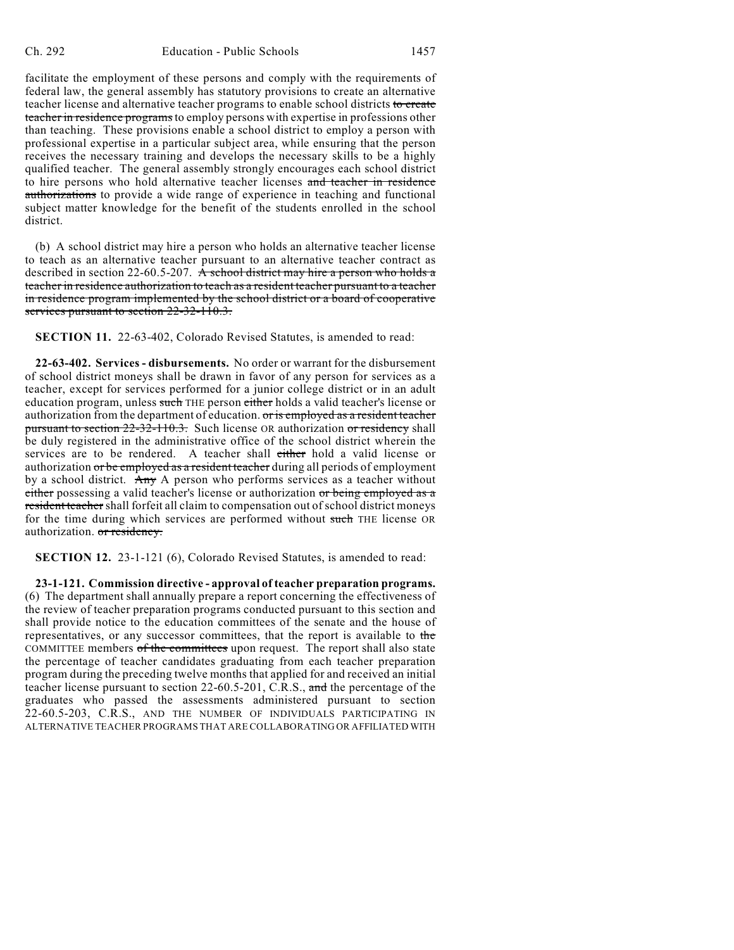facilitate the employment of these persons and comply with the requirements of federal law, the general assembly has statutory provisions to create an alternative teacher license and alternative teacher programs to enable school districts to create teacher in residence programs to employ persons with expertise in professions other than teaching. These provisions enable a school district to employ a person with professional expertise in a particular subject area, while ensuring that the person receives the necessary training and develops the necessary skills to be a highly qualified teacher. The general assembly strongly encourages each school district to hire persons who hold alternative teacher licenses and teacher in residence authorizations to provide a wide range of experience in teaching and functional subject matter knowledge for the benefit of the students enrolled in the school district.

(b) A school district may hire a person who holds an alternative teacher license to teach as an alternative teacher pursuant to an alternative teacher contract as described in section 22-60.5-207. A school district may hire a person who holds a teacher in residence authorization to teach as a resident teacher pursuant to a teacher in residence program implemented by the school district or a board of cooperative services pursuant to section 22-32-110.3.

**SECTION 11.** 22-63-402, Colorado Revised Statutes, is amended to read:

**22-63-402. Services - disbursements.** No order or warrant for the disbursement of school district moneys shall be drawn in favor of any person for services as a teacher, except for services performed for a junior college district or in an adult education program, unless such THE person either holds a valid teacher's license or authorization from the department of education. or is employed as a resident teacher pursuant to section 22-32-110.3. Such license OR authorization or residency shall be duly registered in the administrative office of the school district wherein the services are to be rendered. A teacher shall either hold a valid license or authorization or be employed as a resident teacher during all periods of employment by a school district. Any A person who performs services as a teacher without either possessing a valid teacher's license or authorization or being employed as a resident teacher shall forfeit all claim to compensation out of school district moneys for the time during which services are performed without such THE license OR authorization. or residency.

**SECTION 12.** 23-1-121 (6), Colorado Revised Statutes, is amended to read:

**23-1-121. Commission directive - approval of teacher preparation programs.** (6) The department shall annually prepare a report concerning the effectiveness of the review of teacher preparation programs conducted pursuant to this section and shall provide notice to the education committees of the senate and the house of representatives, or any successor committees, that the report is available to the COMMITTEE members of the committees upon request. The report shall also state the percentage of teacher candidates graduating from each teacher preparation program during the preceding twelve months that applied for and received an initial teacher license pursuant to section 22-60.5-201, C.R.S., and the percentage of the graduates who passed the assessments administered pursuant to section 22-60.5-203, C.R.S., AND THE NUMBER OF INDIVIDUALS PARTICIPATING IN ALTERNATIVE TEACHER PROGRAMS THAT ARE COLLABORATING OR AFFILIATED WITH